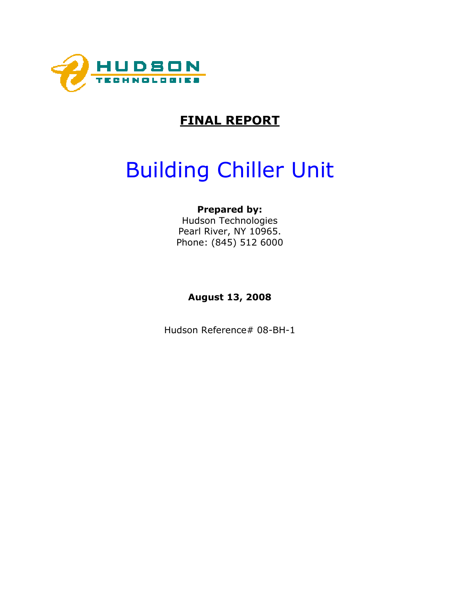

## FINAL REPORT

# Building Chiller Unit

### Prepared by:

Hudson Technologies Pearl River, NY 10965. Phone: (845) 512 6000

August 13, 2008

Hudson Reference# 08-BH-1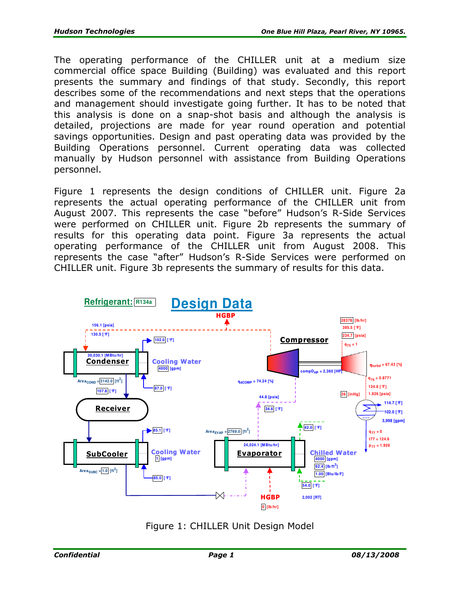The operating performance of the CHILLER unit at a medium size commercial office space Building (Building) was evaluated and this report presents the summary and findings of that study. Secondly, this report describes some of the recommendations and next steps that the operations and management should investigate going further. It has to be noted that this analysis is done on a snap-shot basis and although the analysis is detailed, projections are made for year round operation and potential savings opportunities. Design and past operating data was provided by the Building Operations personnel. Current operating data was collected manually by Hudson personnel with assistance from Building Operations personnel.

Figure 1 represents the design conditions of CHILLER unit. Figure 2a represents the actual operating performance of the CHILLER unit from August 2007. This represents the case "before" Hudson's R-Side Services were performed on CHILLER unit. Figure 2b represents the summary of results for this operating data point. Figure 3a represents the actual operating performance of the CHILLER unit from August 2008. This represents the case "after" Hudson's R-Side Services were performed on CHILLER unit. Figure 3b represents the summary of results for this data.



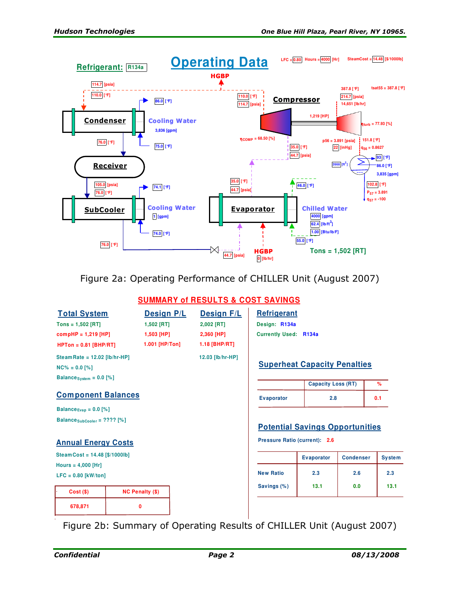

Figure 2a: Operating Performance of CHILLER Unit (August 2007)

#### **SUMMARY of RESULTS & COST SAVINGS**

| <b>Total System</b>                       |                          | <b>Design P/L</b> |  | <b>Design F/L</b> | Refrigerant                   |                                        |                  |     |   |
|-------------------------------------------|--------------------------|-------------------|--|-------------------|-------------------------------|----------------------------------------|------------------|-----|---|
| $Tons = 1,502$ [RT]                       | 1,502 [RT]<br>2,002 [RT] |                   |  |                   | Design: R134a                 |                                        |                  |     |   |
| $compHP = 1,219$ [HP]                     |                          | 1,503 [HP]        |  | 2,360 [HP]        | <b>Currently Used: R134a</b>  |                                        |                  |     |   |
| $HPTon = 0.81$ [BHP/RT]                   |                          | 1.001 [HP/Ton]    |  | 1.18 [BHP/RT]     |                               |                                        |                  |     |   |
| Steam Rate = $12.02$ [lb/hr-HP]           |                          |                   |  | 12.03 [lb/hr-HP]  |                               |                                        |                  |     |   |
| $NC\% = 0.0$ [%]                          |                          |                   |  |                   |                               | <b>Superheat Capacity Penalties</b>    |                  |     |   |
| Balance system = $0.0$ [%]                |                          |                   |  |                   |                               |                                        |                  |     |   |
|                                           |                          |                   |  |                   |                               | <b>Capacity Loss (RT)</b>              |                  |     | % |
| <b>Component Balances</b>                 |                          |                   |  | <b>Evaporator</b> | 2.8                           |                                        |                  | 0.1 |   |
| Balance $E_{\text{Vap}} = 0.0$ [%]        |                          |                   |  |                   |                               |                                        |                  |     |   |
| Balance <sub>SubCooler</sub> = $????$ [%] |                          |                   |  |                   |                               | <b>Potential Savings Opportunities</b> |                  |     |   |
| <b>Annual Energy Costs</b>                |                          |                   |  |                   | Pressure Ratio (current): 2.6 |                                        |                  |     |   |
| Steam Cost = $14.48$ [\$/1000lb]          |                          |                   |  |                   |                               | <b>Evaporator</b>                      | <b>Condenser</b> |     |   |
| Hours = $4,000$ [Hr]                      |                          |                   |  |                   |                               |                                        |                  |     |   |
| $LFC = 0.80$ [kW/ton]                     |                          |                   |  |                   | <b>New Ratio</b>              | 2.3                                    | 2.6              |     |   |
| Cost(S)                                   | <b>NC Penalty (\$)</b>   |                   |  |                   | Savings (%)                   | 13.1                                   | 0.0              |     |   |
| 678,871                                   | 0                        |                   |  |                   |                               |                                        |                  |     |   |
|                                           |                          |                   |  |                   |                               |                                        |                  |     |   |

Figure 2b: Summary of Operating Results of CHILLER Unit (August 2007)

**System** 

**2.6 2.3 13.1 0.0 13.1**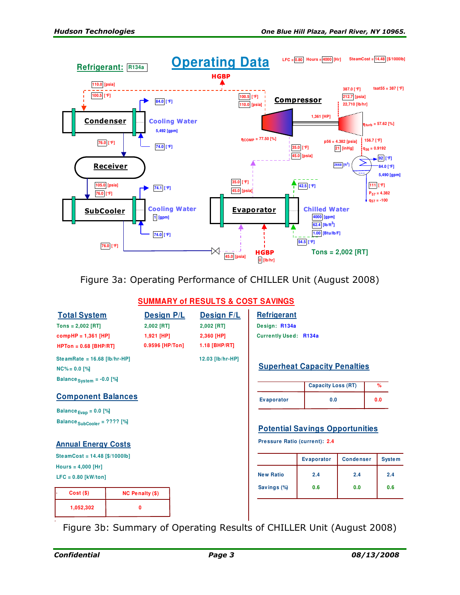

Figure 3a: Operating Performance of CHILLER Unit (August 2008)

#### **SUMMARY of RESULTS & COST SAVINGS**

| <b>Total System</b><br>$Tons = 2,002$ [RT]<br>$compHP = 1,361$ [HP] | 2,002 [RT]<br>$1,921$ [HP] | <b>Design P/L</b><br>2,002 [RT]<br>2,360 [HP] | <b>Design F/L</b> | Refrigerant<br>Design: R134a<br><b>Currently Used: R134a</b> |                           |               |     |
|---------------------------------------------------------------------|----------------------------|-----------------------------------------------|-------------------|--------------------------------------------------------------|---------------------------|---------------|-----|
| $HPTon = 0.68$ [BHP/RT]                                             |                            | 0.9596 [HP/Ton]                               | $1.18$ [BHP/RT]   |                                                              |                           |               |     |
| SteamRate = $16.68$ [lb/hr-HP]<br>$NC\% = 0.0$ [%]                  |                            |                                               | 12.03 [lb/hr-HP]  | <b>Superheat Capacity Penalties</b>                          |                           |               |     |
| Balance $_{\text{System}}$ = -0.0 [%]                               |                            |                                               |                   |                                                              | <b>Capacity Loss (RT)</b> |               | %   |
| <b>Component Balances</b>                                           |                            |                                               | <b>Evaporator</b> | 0.0                                                          |                           | 0.0           |     |
| Balance $_{Evap}$ = 0.0 [%]                                         |                            |                                               |                   |                                                              |                           |               |     |
| Balance SubCooler = ???? [%]                                        |                            |                                               |                   | <b>Potential Savings Opportunities</b>                       |                           |               |     |
| <b>Annual Energy Costs</b>                                          |                            |                                               |                   | Pressure Ratio (current): 2.4                                |                           |               |     |
| SteamCost = $14.48$ [\$/1000lb]                                     |                            |                                               |                   | <b>Evaporator</b>                                            | <b>Condenser</b>          | <b>System</b> |     |
| Hours = $4,000$ [Hr]                                                |                            |                                               |                   |                                                              |                           |               |     |
| $LFC = 0.80$ [kW/ton]                                               |                            |                                               |                   | <b>New Ratio</b>                                             | 2.4                       | 2.4           | 2.4 |
| $Cost($ \$)                                                         | <b>NC Penalty (\$)</b>     |                                               |                   | Savings (%)                                                  | 0.6                       | 0.0           | 0.6 |
| 1,052,302                                                           | 0                          |                                               |                   |                                                              |                           |               |     |
|                                                                     |                            |                                               |                   |                                                              |                           |               |     |

Figure 3b: Summary of Operating Results of CHILLER Unit (August 2008)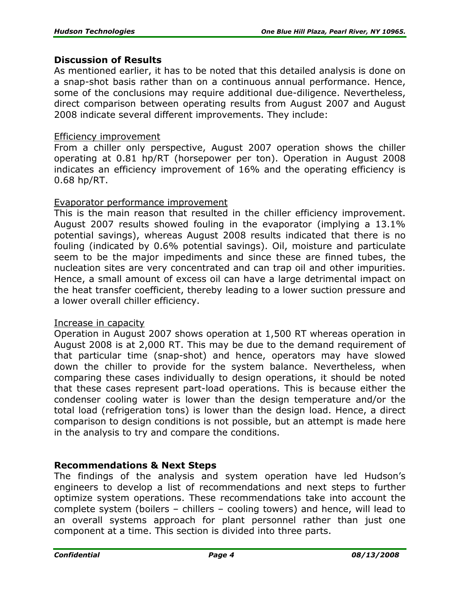#### Discussion of Results

As mentioned earlier, it has to be noted that this detailed analysis is done on a snap-shot basis rather than on a continuous annual performance. Hence, some of the conclusions may require additional due-diligence. Nevertheless, direct comparison between operating results from August 2007 and August 2008 indicate several different improvements. They include:

#### Efficiency improvement

From a chiller only perspective, August 2007 operation shows the chiller operating at 0.81 hp/RT (horsepower per ton). Operation in August 2008 indicates an efficiency improvement of 16% and the operating efficiency is 0.68 hp/RT.

#### Evaporator performance improvement

This is the main reason that resulted in the chiller efficiency improvement. August 2007 results showed fouling in the evaporator (implying a 13.1% potential savings), whereas August 2008 results indicated that there is no fouling (indicated by 0.6% potential savings). Oil, moisture and particulate seem to be the major impediments and since these are finned tubes, the nucleation sites are very concentrated and can trap oil and other impurities. Hence, a small amount of excess oil can have a large detrimental impact on the heat transfer coefficient, thereby leading to a lower suction pressure and a lower overall chiller efficiency.

#### Increase in capacity

Operation in August 2007 shows operation at 1,500 RT whereas operation in August 2008 is at 2,000 RT. This may be due to the demand requirement of that particular time (snap-shot) and hence, operators may have slowed down the chiller to provide for the system balance. Nevertheless, when comparing these cases individually to design operations, it should be noted that these cases represent part-load operations. This is because either the condenser cooling water is lower than the design temperature and/or the total load (refrigeration tons) is lower than the design load. Hence, a direct comparison to design conditions is not possible, but an attempt is made here in the analysis to try and compare the conditions.

#### Recommendations & Next Steps

The findings of the analysis and system operation have led Hudson's engineers to develop a list of recommendations and next steps to further optimize system operations. These recommendations take into account the complete system (boilers – chillers – cooling towers) and hence, will lead to an overall systems approach for plant personnel rather than just one component at a time. This section is divided into three parts.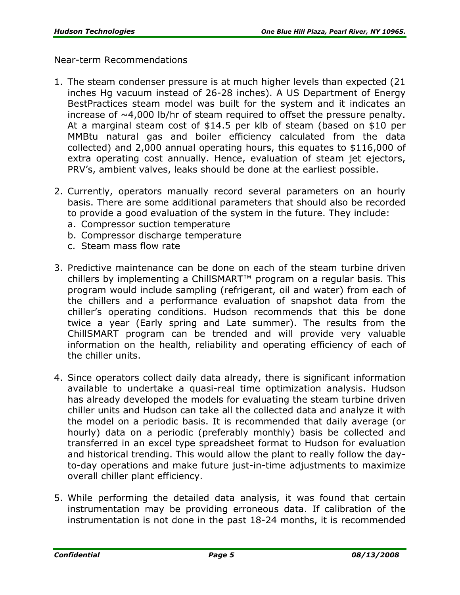#### Near-term Recommendations

- 1. The steam condenser pressure is at much higher levels than expected (21 inches Hg vacuum instead of 26-28 inches). A US Department of Energy BestPractices steam model was built for the system and it indicates an increase of  $\sim$ 4,000 lb/hr of steam required to offset the pressure penalty. At a marginal steam cost of \$14.5 per klb of steam (based on \$10 per MMBtu natural gas and boiler efficiency calculated from the data collected) and 2,000 annual operating hours, this equates to \$116,000 of extra operating cost annually. Hence, evaluation of steam jet ejectors, PRV's, ambient valves, leaks should be done at the earliest possible.
- 2. Currently, operators manually record several parameters on an hourly basis. There are some additional parameters that should also be recorded to provide a good evaluation of the system in the future. They include:
	- a. Compressor suction temperature
	- b. Compressor discharge temperature
	- c. Steam mass flow rate
- 3. Predictive maintenance can be done on each of the steam turbine driven chillers by implementing a ChillSMART™ program on a regular basis. This program would include sampling (refrigerant, oil and water) from each of the chillers and a performance evaluation of snapshot data from the chiller's operating conditions. Hudson recommends that this be done twice a year (Early spring and Late summer). The results from the ChillSMART program can be trended and will provide very valuable information on the health, reliability and operating efficiency of each of the chiller units.
- 4. Since operators collect daily data already, there is significant information available to undertake a quasi-real time optimization analysis. Hudson has already developed the models for evaluating the steam turbine driven chiller units and Hudson can take all the collected data and analyze it with the model on a periodic basis. It is recommended that daily average (or hourly) data on a periodic (preferably monthly) basis be collected and transferred in an excel type spreadsheet format to Hudson for evaluation and historical trending. This would allow the plant to really follow the dayto-day operations and make future just-in-time adjustments to maximize overall chiller plant efficiency.
- 5. While performing the detailed data analysis, it was found that certain instrumentation may be providing erroneous data. If calibration of the instrumentation is not done in the past 18-24 months, it is recommended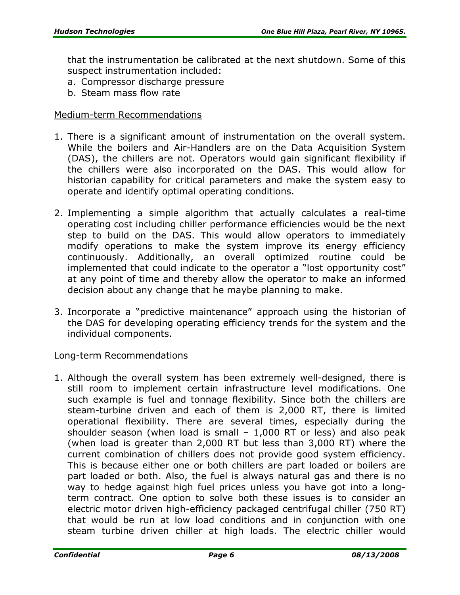that the instrumentation be calibrated at the next shutdown. Some of this suspect instrumentation included:

- a. Compressor discharge pressure
- b. Steam mass flow rate

#### Medium-term Recommendations

- 1. There is a significant amount of instrumentation on the overall system. While the boilers and Air-Handlers are on the Data Acquisition System (DAS), the chillers are not. Operators would gain significant flexibility if the chillers were also incorporated on the DAS. This would allow for historian capability for critical parameters and make the system easy to operate and identify optimal operating conditions.
- 2. Implementing a simple algorithm that actually calculates a real-time operating cost including chiller performance efficiencies would be the next step to build on the DAS. This would allow operators to immediately modify operations to make the system improve its energy efficiency continuously. Additionally, an overall optimized routine could be implemented that could indicate to the operator a "lost opportunity cost" at any point of time and thereby allow the operator to make an informed decision about any change that he maybe planning to make.
- 3. Incorporate a "predictive maintenance" approach using the historian of the DAS for developing operating efficiency trends for the system and the individual components.

#### Long-term Recommendations

1. Although the overall system has been extremely well-designed, there is still room to implement certain infrastructure level modifications. One such example is fuel and tonnage flexibility. Since both the chillers are steam-turbine driven and each of them is 2,000 RT, there is limited operational flexibility. There are several times, especially during the shoulder season (when load is small  $-1,000$  RT or less) and also peak (when load is greater than 2,000 RT but less than 3,000 RT) where the current combination of chillers does not provide good system efficiency. This is because either one or both chillers are part loaded or boilers are part loaded or both. Also, the fuel is always natural gas and there is no way to hedge against high fuel prices unless you have got into a longterm contract. One option to solve both these issues is to consider an electric motor driven high-efficiency packaged centrifugal chiller (750 RT) that would be run at low load conditions and in conjunction with one steam turbine driven chiller at high loads. The electric chiller would